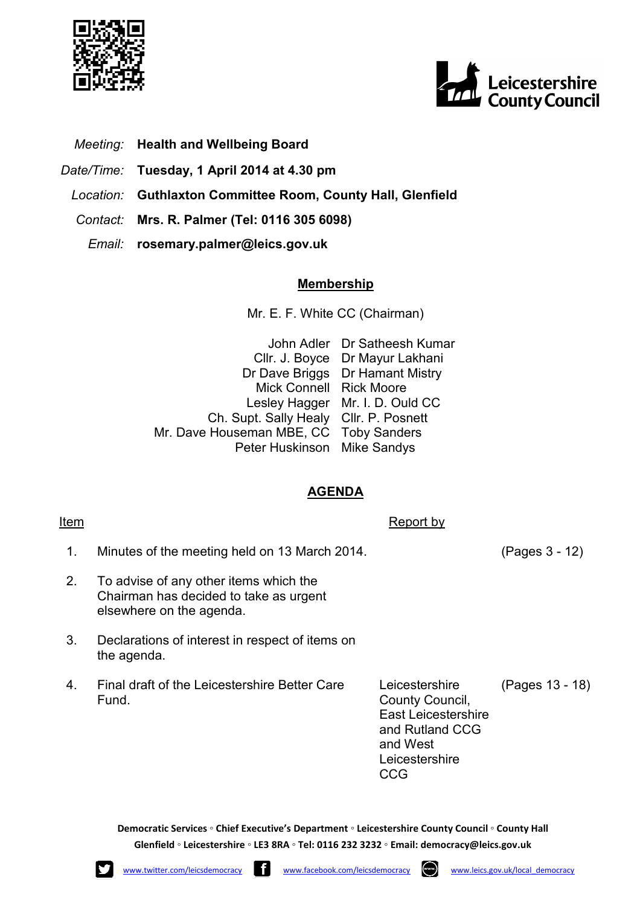



- *Meeting:* **Health and Wellbeing Board**
- *Date/Time:* **Tuesday, 1 April 2014 at 4.30 pm**
- *Location:* **Guthlaxton Committee Room, County Hall, Glenfield**
- *Contact:* **Mrs. R. Palmer (Tel: 0116 305 6098)**
	- *Email:* **rosemary.palmer@leics.gov.uk**

## **Membership**

Mr. E. F. White CC (Chairman)

|                                        | John Adler Dr Satheesh Kumar    |
|----------------------------------------|---------------------------------|
|                                        | Cllr. J. Boyce Dr Mayur Lakhani |
|                                        | Dr Dave Briggs Dr Hamant Mistry |
| Mick Connell Rick Moore                |                                 |
|                                        | Lesley Hagger Mr. I. D. Ould CC |
| Ch. Supt. Sally Healy Cllr. P. Posnett |                                 |
| Mr. Dave Houseman MBE, CC Toby Sanders |                                 |
| Peter Huskinson Mike Sandys            |                                 |

## **AGENDA**

**Item** Report by

- 1. Minutes of the meeting held on 13 March 2014. (Pages 3 - 12)
- 2. To advise of any other items which the Chairman has decided to take as urgent elsewhere on the agenda.
- 3. Declarations of interest in respect of items on the agenda.
- 4. Final draft of the Leicestershire Better Care Fund.

Leicestershire County Council, East Leicestershire and Rutland CCG and West Leicestershire CCG

(Pages 13 - 18)

**Democratic Services ◦ Chief Executive's Department ◦ Leicestershire County Council ◦ County Hall Glenfield ◦ Leicestershire ◦ LE3 8RA ◦ Tel: 0116 232 3232 ◦ Email: democracy@leics.gov.uk** 



$$
\sum_{\mathbf{w}}
$$